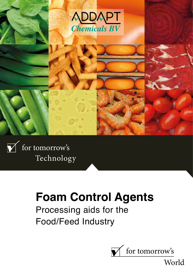



 $\sqrt{\ }$  for tomorrow's Technology

# **Foam Control Agents**

Processing aids for the Food/Feed Industry



World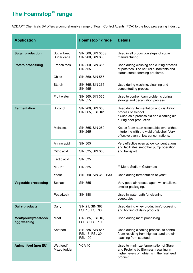# **The Foamstop™ range**

ADDAPT Chemicals BV offers a comprehensive range of Foam Control Agents (FCA) to the food processing industry.

| <b>Application</b>                   |                           | Foamstop <sup>™</sup> grade                            | <b>Details</b>                                                                                                                               |
|--------------------------------------|---------------------------|--------------------------------------------------------|----------------------------------------------------------------------------------------------------------------------------------------------|
| <b>Sugar production</b>              | Sugar beet/<br>Sugar cane | SIN 360, SIN 365S,<br>SIN 260, SIN 385                 | Used in all production steps of sugar<br>manufacturing.                                                                                      |
| <b>Potato processing</b>             | French fries              | SIN 360, SIN 365,<br><b>SIN 555</b>                    | Used during washing and cutting process<br>of potatoes. The natural surfactants and<br>starch create foaming problems.                       |
|                                      | Chips                     | SIN 360, SIN 555                                       |                                                                                                                                              |
|                                      | <b>Starch</b>             | SIN 365, SIN 366,<br><b>SIN 555</b>                    | Used during washing, cleaning and<br>concentrating process.                                                                                  |
|                                      | Fruit water               | SIN 360, SIN 365,<br><b>SIN 555</b>                    | Used to control foam problems during<br>storage and decantation process.                                                                     |
| <b>Fermentation</b>                  | Alcohol                   | SIN 260, SIN 360,<br>SIN 365, FSL 16*                  | Used during fermentation and distillation<br>process of alcohol.<br>* Used as a process aid and cleaning aid<br>during beer production.      |
|                                      | <b>Molasses</b>           | SIN 365, SIN 260,<br><b>SIN 265</b>                    | Keeps foam at an acceptable level without<br>interfering with the yield of alcohol. Very<br>effective even at low concentrations.            |
|                                      | Amino acid                | <b>SIN 365</b>                                         | Very effective even at low concentrations<br>and facilitates smoother pump operation<br>and transport.                                       |
|                                      | Citric acid               | SIN 535, SIN 365                                       |                                                                                                                                              |
|                                      | Lactic acid               | <b>SIN 535</b>                                         |                                                                                                                                              |
|                                      | MSG**                     | <b>SIN 535</b>                                         | ** Mono Sodium Glutamate                                                                                                                     |
|                                      | Yeast                     | SIN 260, SIN 360, F30                                  | Used during fermentation of yeast.                                                                                                           |
| <b>Vegetable processing</b>          | Spinach                   | <b>SIN 555</b>                                         | Very good air release agent which allows<br>smaller packaging.                                                                               |
|                                      | Peas/Leek                 | <b>SIN 388</b>                                         | Used in water bath for cleaning<br>vegetables.                                                                                               |
| <b>Dairy products</b>                | Dairy                     | SIN 21, SIN 388,<br>FSL 16, FSL 30                     | Used during whey production/processing<br>and bottling of dairy products.                                                                    |
| Meat/poultry/seafood/<br>egg washing | Meat                      | SIN 385, FSL 16,<br>FSL 30, FSL 100                    | Used during meat processing.                                                                                                                 |
|                                      | Seafood                   | SIN 385, SIN 555,<br>FSL 16, FSL 30,<br><b>FSL 100</b> | Used during cleaning process; to control<br>foam resulting from high salt and protein<br>leaching from seafood.                              |
| <b>Animal feed (non EU)</b>          | Wet feed/<br>Mixed fodder | <b>YCA 40</b>                                          | Used to minimize fermentation of Starch<br>and Proteins by Biomass, resulting in<br>higher levels of nutrients in the final feed<br>product. |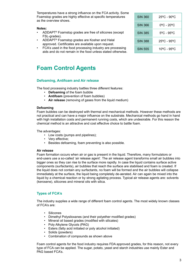Temperatures have a strong influence on the FCA activity. Some Foamstop grades are highly effective at specific temperatures as the overview shows.

### **Notes:**

- ADDAPT® Foamstop grades are free of silicones (except FSL-grades).
- ADDAPT® Foamstop grades are Kosher and Halal approved. Certificates are available upon request.
- FCA's used in the food processing industry are processing aids and do not remain in the food unless stated otherwise.

| SIN 360        | 25°C - 90°C                      |
|----------------|----------------------------------|
| <b>SIN 366</b> | 0ºC - 20ºC                       |
| <b>SIN 385</b> | 5°C - 95°C                       |
| <b>SIN 388</b> | $25^{\circ}$ C - 95 $^{\circ}$ C |
| <b>SIN 555</b> | 10°C - 95°C                      |

### **Foam Control Agents**

### **Defoaming, Antifoam and Air release**

The food processing industry battles three different features:

- **Defoaming** of the foam bubble
- **Antifoam** (prevention of foam bubbles)
- **Air release** (removing of gases from the liquid medium)

### **Defoaming**

Foam bubbles can be destroyed with thermal and mechanical methods. However these methods are not practical and can have a major influence on the substrate. Mechanical methods go hand in hand with high installation costs and permanent running costs, which are undesirable. For this reason the chemical method is an attractive and cost effective choice to battle foam.

The advantages:

- Low costs (pumps and pipelines);
- Very effective;
- Besides defoaming, foam preventing is also possible.

### **Air release**

Foam formation occurs when air or gas is present in the liquid. Therefore, many formulators or end-users use a so-called 'air release agent'. The air release agent transforms small air bubbles into bigger ones so they can rise to the surface more rapidly. In case the liquid contains surface active components (surfactants), air bubbles that reach the surface are stabilised and foam is created. If the liquid does not contain any surfactants, no foam will be formed and the air bubbles will collapse immediately at the surface, the liquid being completely de-aerated. Air can again be mixed into the liquid by a chemical reaction or by strong agitating process. Typical air release agents are: solvents (kerosene), silicones and mineral oils with silica.

### **Types of FCA's**

The industry supplies a wide range of different foam control agents. The most widely known classes of FCA's are:

- Silicones
- Dimethyl Polysiloxanes (and their polyether modified grades)
- Mineral oil based grades (modified with silicates)
- Poly Alkylene Glycols (PAG)
- Esters (fatty acid initiated or poly alcohol initiated)
- Solids (powders)
- Combination of compounds as shown above

Foam control agents for the food industry requires FDA approved grades, for this reason, not every type of FCA can be applied. The sugar, potato, yeast and starch industries use mainly Ester and PAG based FCA's.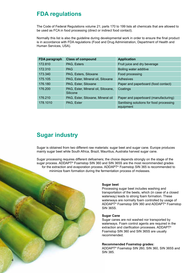### **FDA regulations**

The Code of Federal Regulations volume 21; parts 170 to 199 lists all chemicals that are allowed to be used as FCA in food processing (direct or indirect food contact).

Normally this list is also the guideline during developmental work in order to ensure the final product is in accordance with FDA regulations (Food and Drug Administration, Department of Health and Human Services, USA).

| FDA paragraph | <b>Class of compound</b>                       | <b>Application</b>                                    |
|---------------|------------------------------------------------|-------------------------------------------------------|
| 172.810       | PAG, Esters                                    | Fruit juice and dry beverage                          |
| 172.310       | <b>PAG</b>                                     | Boiling water additive                                |
| 173.340       | PAG, Esters, Siloxane                          | Food processing                                       |
| 175.105       | PAG, Ester, Mineral oil, Siloxane              | Adhesives                                             |
| 176,180       | PAG, Ester, Siloxane                           | Paper and paperboard (food contact)                   |
| 176.200       | PAG, Ester, Mineral oil, Siloxane,<br>Silicone | Coatings                                              |
| 176.210       | PAG, Ester, Siloxane, Mineral oil              | Paper and paperboard (manufacturing)                  |
| 178.1010      | PAG, Ester                                     | Sanitising solutions for food processing<br>equipment |

# **Sugar industry**

Sugar is obtained from two different raw materials: sugar beet and sugar cane. Europe produces mainly sugar beet while South Africa, Brazil, Mauritius, Australia harvest sugar cane.

Sugar processing requires different defoamers; the choice depends strongly on the stage of the sugar process. ADDAPT® Foamstop SIN 360 and SIN 365S are the most recommended grades for the extraction and evaporation process. ADDAPT® Foamstop SIN 365 is recommended to minimize foam formation during the fermentation process of molasses.

### **Sugar beet**

Processing sugar beet includes washing and transportation of the beets, which (in case of a closed waterway) leads to strong foam formation. These waterways are normally foam controlled by usage of ADDAPT® Foamstop SIN 360 and ADDAPT® Foamstop SIN 365S.

### **Sugar Cane**

Sugar canes are not washed nor transported by waterways. Foam control agents are required in the extraction and clarification processes. ADDAPT® Foamstop SIN 360 and SIN 365S are usually recommended.

### **Recommended Foamstop grades:**

ADDAPT® Foamstop SIN 260, SIN 360, SIN 365S and SIN 385.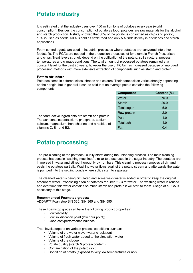### **Potato industry**

It is estimated that the industry uses over 400 million tons of potatoes every year (world consumption). Besides the consumption of potato as food, potatoes are raw materials for the alcohol and starch production. A study showed that 30% of the potato is consumed as chips and potato, 10% is used as seeds, 50% is sold as cattle feed and only 5% finds its way in distilleries and starch applications.

Foam control agents are used in industrial processes where potatoes are converted into other foodstuffs. The FCA's are needed in the production processes of for example French fries, crisps and chips. Treat levels strongly depend on the cultivation of the potato, soil structure, process temperatures and climatic conditions. The total amount of processed potatoes remained at a constant level for the past 25 years, however the use of FCA's has increased because of improved processing methods with more extensive extraction of components such as starch and protein.

### **Potato structure**

on their origin, but in general it can be said that an average potato contains the following<br>components: Potatoes come in different sizes, shapes and colours. Their composition varies strongly depending components:

| <b>Component</b> | Content (%) |
|------------------|-------------|
| Water            | 75.0        |
| <b>Starch</b>    | 20.0        |
| Total sugar      | 5.0         |
| Raw protein      | 2.0         |
| Pulp             | 1.0         |
| <b>Total ash</b> | 1.0         |
| Fat              | 0.4         |
|                  |             |

The foam active ingredients are starch and protein. The ash contains potassium, phosphate, sodium, calcium, magnesium, iron, chlorine and a residue of vitamins C, B1 and B2.

# **Potato processing**

The pre-cleaning of the potatoes usually starts during the unloading process. The main cleaning process happens in 'washing machines' similar to those used in the sugar industry. The potatoes are immersed in water and stirred thoroughly by iron bars. This cleaning process removes all dirt and peels the potatoes partially. Washing water flows against the potato stream and afterwards the water is pumped into the settling ponds where solids start to separate.

The cleaned water is being circulated and some fresh water is added in order to keep the original amount of water. Processing a ton of potatoes requires  $2 - 3$  m<sup>3</sup> water. The washing water is reused and over time this water contains so much starch and protein it will start to foam. Usage of a FCA is necessary at this stage.

### **Recommended Foamstop grades:**

ADDAPT® Foamstop SIN 360, SIN 365 and SIN 555.

These Foamstop grades all have the following product properties:

- Low viscosity;
- Low solidification point (low pour point);
- Good cost/performance balance.

Treat levels depend on various process conditions such as:

- Volume of the water ways (water circulation)
- Volume of fresh water added to the circulation water
- Volume of the sludge
- Potato quality (starch & protein content)
- Contamination of the potato (soil)
- Condition of potato (exposed to very low temperatures or not)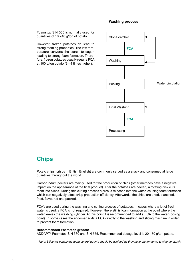### **Washing process**

Foamstop SIN 555 is normally used for quantities of 10 - 40 g/ton of potato.

However, frozen potatoes do lead to strong foaming properties. The low temperature converts the starch to sugar, leading to strong foam formation. Therefore, frozen potatoes usually require FCA at 100 g/ton potato (3 - 4 times higher).



### **Chips**

Potato chips (crisps in British English) are commonly served as a snack and consumed at large quantities throughout the world.

Carborundum peelers are mainly used for the production of chips (other methods have a negative impact on the appearance of the final product). After the potatoes are peeled, a rotating disk cuts them into slices. During this cutting process starch is released into the water, causing foam formation which can negatively affect crisp production efficiency. Afterwards, the chips are dried, blanched, fried, flavoured and packed.

FCA's are used during the washing and cutting process of potatoes. In cases where a lot of fresh water is used, a FCA is not required. However, there still is foam formation at the point where the water leaves the washing cylinder. At this point it is recommended to add a FCA to the water (dosing point). In some cases the end-user adds a FCA directly to the washing and slicing machine in order to prevent foam formation.

### **Recommended Foamstop grades:**

ADDAPT® Foamstop SIN 360 and SIN 555. Recommended dosage level is 20 - 70 g/ton potato.

*Note: Silicones containing foam control agents should be avoided as they have the tendency to clog up starch.*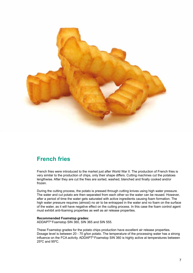

# **French fries**

French fries were introduced to the market just after World War II. The production of French fries is very similar to the production of chips, only their shape differs. Cutting machines cut the potatoes lengthwise. After they are cut the fries are sorted, washed, blanched and finally cooked and/or frozen.

During the cutting process, the potato is pressed through cutting knives using high water pressure. The water and cut potato are then separated from each other so the water can be reused. However, after a period of time the water gets saturated with active ingredients causing foam formation. The high water pressure requires (almost) no air to be entrapped in the water and no foam on the surface of the water, as it will have negative effect on the cutting process. In this case the foam control agent must exhibit anti-foaming properties as well as air release properties.

### **Recommended Foamstop grades:**

ADDAPT® Foamstop SIN 360, SIN 365 and SIN 555.

These Foamstop grades for the potato chips production have excellent air release properties. Dosage level is between 20 - 70 g/ton potato. The temperature of the processing water has a strong influence on the FCA activity. ADDAPT® Foamstop SIN 360 is highly active at temperatures between 25ºC and 95ºC.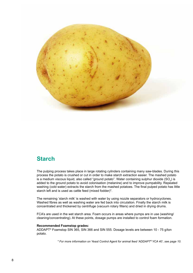

# **Starch**

The pulping process takes place in large rotating cylinders containing many saw-blades. During this process the potato is crushed or cut in order to make starch extraction easier. The mashed potato is a medium viscous liquid, also called "ground potato". Water containing sulphur dioxide (SO<sub>2</sub>) is added to the ground potato to avoid colonisation (melanine) and to improve pumpability. Repeated washing (cold water) extracts the starch from the mashed potatoes. The final pulped potato has little starch left and is used as cattle feed (mixed fodder)\*.

The remaining 'starch milk' is washed with water by using nozzle separators or hydrocyclones. Washed fibres as well as washing water are fed back into circulation. Finally the starch milk is concentrated and thickened by centrifuge (vacuum rotary filters) and dried in drying drums.

FCA's are used in the wet starch area. Foam occurs in areas where pumps are in use (washing/ cleaning/concentrating). At these points, dosage pumps are installed to control foam formation.

### **Recommended Foamstop grades:**

ADDAPT® Foamstop SIN 365, SIN 366 and SIN 555. Dosage levels are between 10 - 75 g/ton potato.

*\* For more information on Yeast Control Agent for animal feed 'ADDAPT® YCA 40', see page 10.*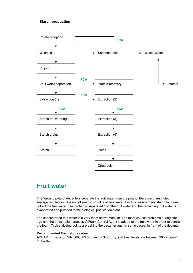### **Starch production**



### **Fruit water**

The "ground potato" decanters separate the fruit water from the potato. Because of restricted sewage regulations, it is not allowed to sprinkle all fruit water. For this reason many starch factories collect the fruit water. The protein is separated from the fruit water and the remaining fruit water is evaporated and pumped to the biological purification plant.

The concentrated fruit water is a very foam active medium. The foam causes problems during storage and the decantation process. A Foam Control Agent is added to the fruit water in order to control the foam. Typical dosing points are behind the decanter and (in some cases) in front of the decanter.

### **Recommended Foamstop grades:**

ADDAPT® Foamstop SIN 360, SIN 365 and SIN 555. Typical treat levels are between 20 - 70 g/m<sup>3</sup> fruit water.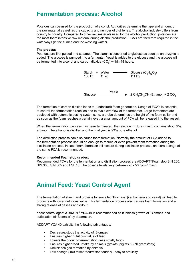### **Fermentation process: Alcohol**

Potatoes can be used for the production of alcohol. Authorities determine the type and amount of the raw material as well as the capacity and number of distilleries. The alcohol industry differs from country to country. Compared to other raw materials used for the alcohol production, potatoes are the most foam intensive raw material during alcohol production. FCA's are therefore required in the waterways (in the flumes and the washing water).

### **The process**

Potatoes are first pulped and steamed. The starch is converted to glucose as soon as an enzyme is added. The glucose is pumped into a fermenter. Yeast is added to the glucose and the glucose will be fermented into alcohol and carbon dioxide (CO<sub>2</sub>) within 48 hours.



Glucose  $\longrightarrow$  2 CH<sub>3</sub>CH<sub>2</sub>OH (Ethanol) + 2 CO<sub>2</sub>

The formation of carbon dioxide leads to (undesired) foam generation. Usage of FCA's is essential to control the fermentation reaction and to avoid overflow of the fermenter. Large fermenters are equipped with automatic dosing systems, i.e. a probe determines the height of the foam collar and as soon as the foam reaches a certain level, a small amount of FCA will be released into the vessel.

When the fermentation process has been terminated, the reaction mixture (mash) contains about 9% ethanol. The ethanol is distilled and the final yield is 93% pure ethanol.

The distillation process can also cause foam formation. Normally the amount of FCA added to the fermentation process should be enough to reduce or even prevent foam formation during the distillation process. In case foam formation still occurs during distillation process, an extra dosage of the same FCA is recommended.

### **Recommended Foamstop grades:**

Recommended FCA's for the fermentation and distillation process are ADDAPT® Foamstop SIN 260, SIN 360, SIN 365 and FSL 16. The dosage levels vary between 20 - 50 g/cm<sup>3</sup> mash.

# **Animal Feed: Yeast Control Agent**

The fermentation of starch and proteins by so-called 'Biomass' (i.e. bacteria and yeast) will lead to products with lower nutritious value. This fermentation process also causes foam formation and a strong release of gasses and odour.

Yeast control agent **ADDAPT® YCA 40** is recommended as it inhibits growth of 'Biomass' and suffocation of 'Biomass' by deaeration.

ADDAPT YCA 40 exhibits the following advantages:

- Decreases/stops the activity of 'Biomass'
- Ensures higher nutritious value of feed
- Lowers the odour of fermentation (less smelly food)
- Ensures higher feed uptake by animals (growth: piglets 50-70 grams/day)
- Diminishes gas formation by animals
- Low dosage (100 ml/m<sup>3</sup> feed/mixed fodder) easy to emulsify.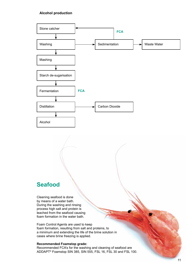### **Alcohol production**



### **Seafood**

Cleaning seafood is done by means of a water bath. During the washing and rinsing process high salt and protein is leached from the seafood causing foam formation in the water bath.

Foam Control Agents are used to keep foam formation, resulting from salt and proteins, to a minimum and extending the life of the brine solution in cases where brine freezing is applied.

### **Recommended Foamstop grade:**

Recommended FCA's for the washing and cleaning of seafood are ADDAPT® Foamstop SIN 385, SIN 555, FSL 16, FSL 30 and FSL 100.